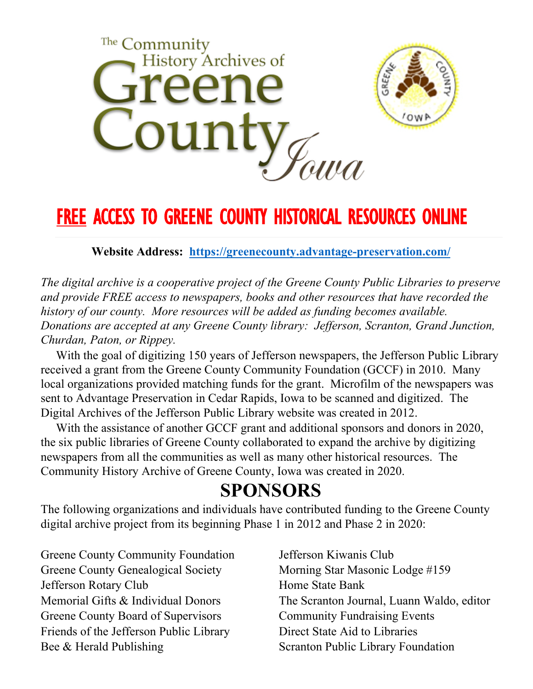

# **FREE ACCESS TO GREENE COUNTY HISTORICAL RESOURCES ONLINE**

**Website Address: <https://greenecounty.advantage-preservation.com/>**

*The digital archive is a cooperative project of the Greene County Public Libraries to preserve and provide FREE access to newspapers, books and other resources that have recorded the history of our county. More resources will be added as funding becomes available. Donations are accepted at any Greene County library: Jefferson, Scranton, Grand Junction, Churdan, Paton, or Rippey.*

 With the goal of digitizing 150 years of Jefferson newspapers, the Jefferson Public Library received a grant from the Greene County Community Foundation (GCCF) in 2010. Many local organizations provided matching funds for the grant. Microfilm of the newspapers was sent to Advantage Preservation in Cedar Rapids, Iowa to be scanned and digitized. The Digital Archives of the Jefferson Public Library website was created in 2012.

 With the assistance of another GCCF grant and additional sponsors and donors in 2020, the six public libraries of Greene County collaborated to expand the archive by digitizing newspapers from all the communities as well as many other historical resources. The Community History Archive of Greene County, Iowa was created in 2020.

## **SPONSORS**

The following organizations and individuals have contributed funding to the Greene County digital archive project from its beginning Phase 1 in 2012 and Phase 2 in 2020:

Greene County Community Foundation Greene County Genealogical Society Jefferson Rotary Club Memorial Gifts & Individual Donors Greene County Board of Supervisors Friends of the Jefferson Public Library Bee & Herald Publishing

Jefferson Kiwanis Club Morning Star Masonic Lodge #159 Home State Bank The Scranton Journal, Luann Waldo, editor Community Fundraising Events Direct State Aid to Libraries Scranton Public Library Foundation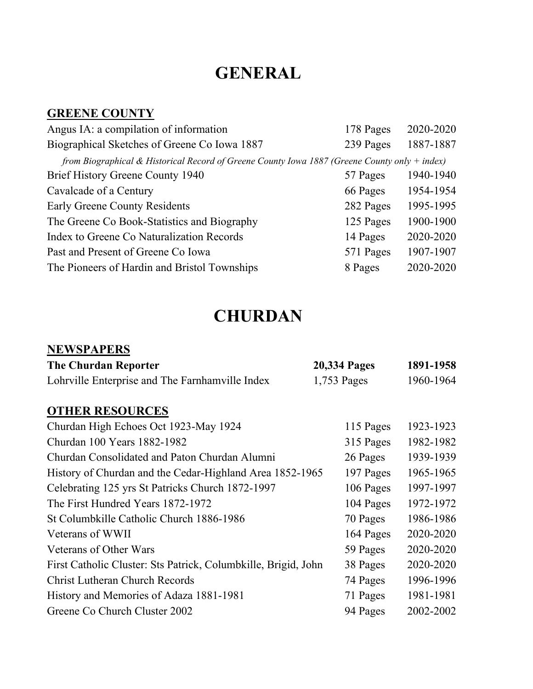## **GENERAL**

#### **GREENE COUNTY**

| 178 Pages | 2020-2020                                                                                       |
|-----------|-------------------------------------------------------------------------------------------------|
| 239 Pages | 1887-1887                                                                                       |
|           |                                                                                                 |
| 57 Pages  | 1940-1940                                                                                       |
| 66 Pages  | 1954-1954                                                                                       |
| 282 Pages | 1995-1995                                                                                       |
| 125 Pages | 1900-1900                                                                                       |
| 14 Pages  | 2020-2020                                                                                       |
| 571 Pages | 1907-1907                                                                                       |
| 8 Pages   | 2020-2020                                                                                       |
|           | from Biographical & Historical Record of Greene County Iowa 1887 (Greene County only $+$ index) |

## **CHURDAN**

#### **NEWSPAPERS**

| <b>The Churdan Reporter</b>                                    | <b>20,334 Pages</b> | 1891-1958              |  |
|----------------------------------------------------------------|---------------------|------------------------|--|
| Lohrville Enterprise and The Farnhamville Index                | 1,753 Pages         | 1960-1964              |  |
| <b>OTHER RESOURCES</b>                                         |                     |                        |  |
| Churdan High Echoes Oct 1923-May 1924                          |                     | 1923-1923<br>115 Pages |  |
| Churdan 100 Years 1882-1982                                    |                     | 315 Pages<br>1982-1982 |  |
| Churdan Consolidated and Paton Churdan Alumni                  |                     | 1939-1939<br>26 Pages  |  |
| History of Churdan and the Cedar-Highland Area 1852-1965       |                     | 1965-1965<br>197 Pages |  |
| Celebrating 125 yrs St Patricks Church 1872-1997               |                     | 1997-1997<br>106 Pages |  |
| The First Hundred Years 1872-1972                              |                     | 104 Pages<br>1972-1972 |  |
| St Columbkille Catholic Church 1886-1986                       |                     | 1986-1986<br>70 Pages  |  |
| Veterans of WWII                                               |                     | 2020-2020<br>164 Pages |  |
| Veterans of Other Wars                                         | 59 Pages            | 2020-2020              |  |
| First Catholic Cluster: Sts Patrick, Columbkille, Brigid, John | 38 Pages            | 2020-2020              |  |
| <b>Christ Lutheran Church Records</b>                          | 74 Pages            | 1996-1996              |  |
| History and Memories of Adaza 1881-1981                        | 71 Pages            | 1981-1981              |  |
| Greene Co Church Cluster 2002                                  | 94 Pages            | 2002-2002              |  |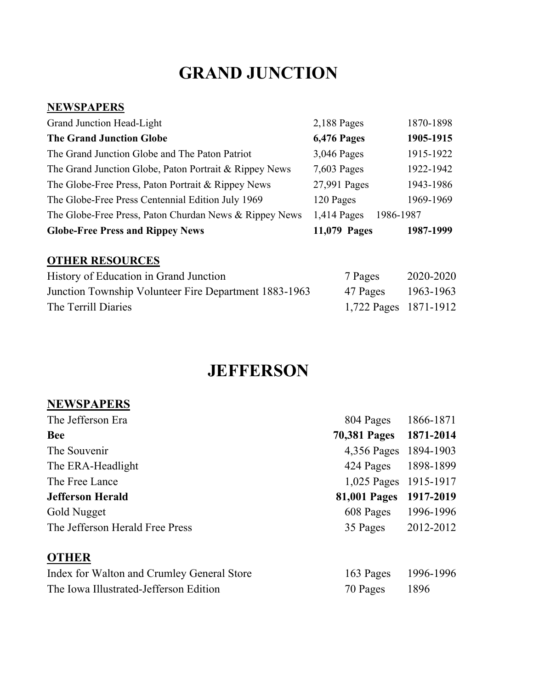## **GRAND JUNCTION**

#### **NEWSPAPERS**

| Grand Junction Head-Light                              | $2,188$ Pages | 1870-1898 |
|--------------------------------------------------------|---------------|-----------|
| <b>The Grand Junction Globe</b>                        | 6,476 Pages   | 1905-1915 |
| The Grand Junction Globe and The Paton Patriot         | 3,046 Pages   | 1915-1922 |
| The Grand Junction Globe, Paton Portrait & Rippey News | 7,603 Pages   | 1922-1942 |
| The Globe-Free Press, Paton Portrait & Rippey News     | 27,991 Pages  | 1943-1986 |
| The Globe-Free Press Centennial Edition July 1969      | 120 Pages     | 1969-1969 |
| The Globe-Free Press, Paton Churdan News & Rippey News | 1,414 Pages   | 1986-1987 |
| <b>Globe-Free Press and Rippey News</b>                | 11,079 Pages  | 1987-1999 |

#### **OTHER RESOURCES**

| History of Education in Grand Junction                | 7 Pages               | 2020-2020 |
|-------------------------------------------------------|-----------------------|-----------|
| Junction Township Volunteer Fire Department 1883-1963 | 47 Pages              | 1963-1963 |
| The Terrill Diaries                                   | 1,722 Pages 1871-1912 |           |

### **JEFFERSON**

#### **NEWSPAPERS**

| The Jefferson Era                          | 804 Pages 1866-1871    |           |
|--------------------------------------------|------------------------|-----------|
| <b>Bee</b>                                 | <b>70,381 Pages</b>    | 1871-2014 |
| The Souvenir                               | 4,356 Pages 1894-1903  |           |
| The ERA-Headlight                          | 424 Pages 1898-1899    |           |
| The Free Lance                             | 1,025 Pages 1915-1917  |           |
| <b>Jefferson Herald</b>                    | 81,001 Pages 1917-2019 |           |
| Gold Nugget                                | 608 Pages              | 1996-1996 |
| The Jefferson Herald Free Press            | 35 Pages               | 2012-2012 |
| <b>OTHER</b>                               |                        |           |
| Indov for Welton and Crumley Canaral Store | $162 \text{ Po}$       | 1006 1006 |

| Index for Walton and Crumley General Store | 163 Pages 1996-1996 |      |
|--------------------------------------------|---------------------|------|
| The Iowa Illustrated-Jefferson Edition     | 70 Pages            | 1896 |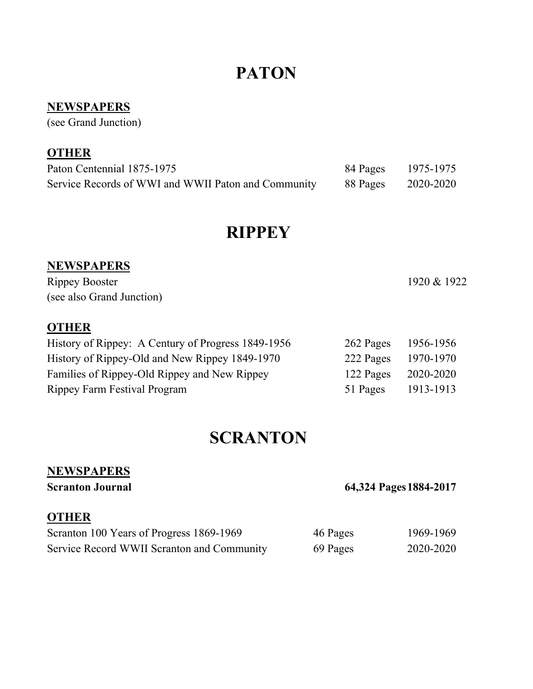## **PATON**

#### **NEWSPAPERS**

(see Grand Junction)

#### **OTHER**

| Paton Centennial 1875-1975                          | 84 Pages | 1975-1975 |
|-----------------------------------------------------|----------|-----------|
| Service Records of WWI and WWII Paton and Community | 88 Pages | 2020-2020 |

### **RIPPEY**

#### **NEWSPAPERS**

Rippey Booster 1920 & 1922 (see also Grand Junction)

#### **OTHER**

| History of Rippey: A Century of Progress 1849-1956 | 262 Pages | 1956-1956 |
|----------------------------------------------------|-----------|-----------|
| History of Rippey-Old and New Rippey 1849-1970     | 222 Pages | 1970-1970 |
| Families of Rippey-Old Rippey and New Rippey       | 122 Pages | 2020-2020 |
| Rippey Farm Festival Program                       | 51 Pages  | 1913-1913 |

### **SCRANTON**

#### **NEWSPAPERS**

**Scranton Journal** 64,324 Pages 1884-2017

#### **OTHER**

| Scranton 100 Years of Progress 1869-1969   | 46 Pages | 1969-1969 |
|--------------------------------------------|----------|-----------|
| Service Record WWII Scranton and Community | 69 Pages | 2020-2020 |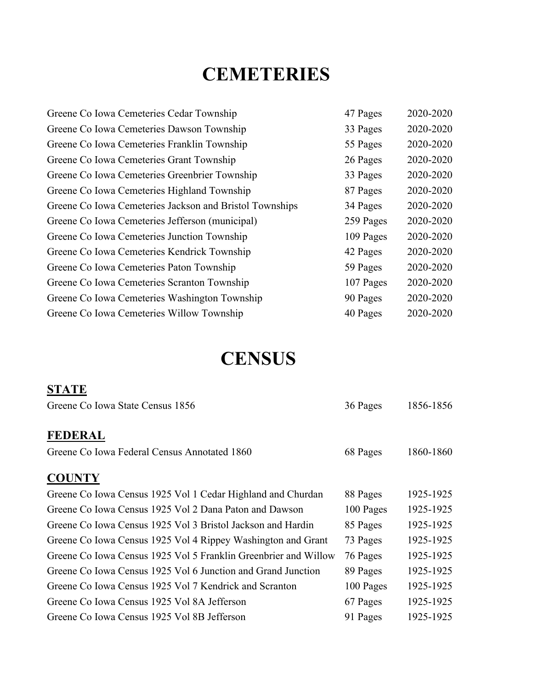# **CEMETERIES**

| Greene Co Iowa Cemeteries Cedar Township                | 47 Pages  | 2020-2020 |
|---------------------------------------------------------|-----------|-----------|
| Greene Co Iowa Cemeteries Dawson Township               | 33 Pages  | 2020-2020 |
| Greene Co Iowa Cemeteries Franklin Township             | 55 Pages  | 2020-2020 |
| Greene Co Iowa Cemeteries Grant Township                | 26 Pages  | 2020-2020 |
| Greene Co Iowa Cemeteries Greenbrier Township           | 33 Pages  | 2020-2020 |
| Greene Co Iowa Cemeteries Highland Township             | 87 Pages  | 2020-2020 |
| Greene Co Iowa Cemeteries Jackson and Bristol Townships | 34 Pages  | 2020-2020 |
| Greene Co Iowa Cemeteries Jefferson (municipal)         | 259 Pages | 2020-2020 |
| Greene Co Iowa Cemeteries Junction Township             | 109 Pages | 2020-2020 |
| Greene Co Iowa Cemeteries Kendrick Township             | 42 Pages  | 2020-2020 |
| Greene Co Iowa Cemeteries Paton Township                | 59 Pages  | 2020-2020 |
| Greene Co Iowa Cemeteries Scranton Township             | 107 Pages | 2020-2020 |
| Greene Co Iowa Cemeteries Washington Township           | 90 Pages  | 2020-2020 |
| Greene Co Iowa Cemeteries Willow Township               | 40 Pages  | 2020-2020 |

# **CENSUS**

| <b>STATE</b>                                                    |           |           |
|-----------------------------------------------------------------|-----------|-----------|
| Greene Co Iowa State Census 1856                                | 36 Pages  | 1856-1856 |
| <b>FEDERAL</b>                                                  |           |           |
| Greene Co Iowa Federal Census Annotated 1860                    | 68 Pages  | 1860-1860 |
| <b>COUNTY</b>                                                   |           |           |
| Greene Co Iowa Census 1925 Vol 1 Cedar Highland and Churdan     | 88 Pages  | 1925-1925 |
| Greene Co Iowa Census 1925 Vol 2 Dana Paton and Dawson          | 100 Pages | 1925-1925 |
| Greene Co Iowa Census 1925 Vol 3 Bristol Jackson and Hardin     | 85 Pages  | 1925-1925 |
| Greene Co Iowa Census 1925 Vol 4 Rippey Washington and Grant    | 73 Pages  | 1925-1925 |
| Greene Co Iowa Census 1925 Vol 5 Franklin Greenbrier and Willow | 76 Pages  | 1925-1925 |
| Greene Co Iowa Census 1925 Vol 6 Junction and Grand Junction    | 89 Pages  | 1925-1925 |
| Greene Co Iowa Census 1925 Vol 7 Kendrick and Scranton          | 100 Pages | 1925-1925 |
| Greene Co Iowa Census 1925 Vol 8A Jefferson                     | 67 Pages  | 1925-1925 |
| Greene Co Iowa Census 1925 Vol 8B Jefferson                     | 91 Pages  | 1925-1925 |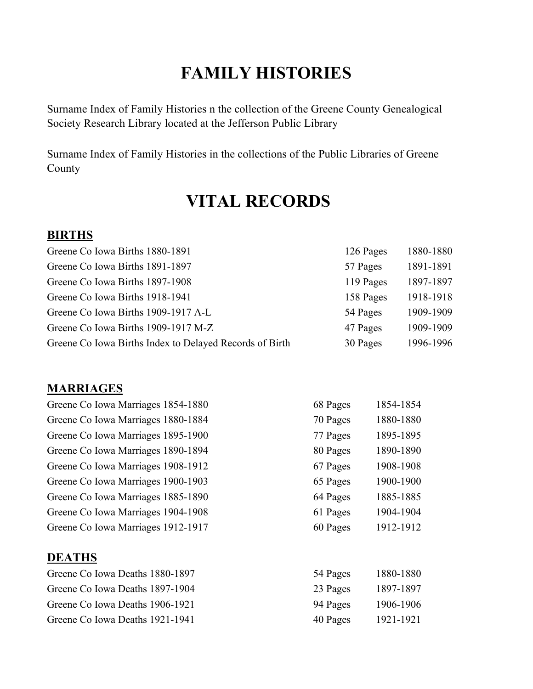## **FAMILY HISTORIES**

[Surname Index of Family Histories n the collection of the Greene County Genealogical](javascript:void(0))  [Society](javascript:void(0)) Research Library located at the Jefferson Public Library

Surname Index of Family Histories in the collections of the Public Libraries of Greene County

## **VITAL RECORDS**

#### **BIRTHS**

| Greene Co Iowa Births 1880-1891                         | 126 Pages | 1880-1880 |
|---------------------------------------------------------|-----------|-----------|
| Greene Co Iowa Births 1891-1897                         | 57 Pages  | 1891-1891 |
| Greene Co Iowa Births 1897-1908                         | 119 Pages | 1897-1897 |
| Greene Co Iowa Births 1918-1941                         | 158 Pages | 1918-1918 |
| Greene Co Iowa Births 1909-1917 A-L                     | 54 Pages  | 1909-1909 |
| Greene Co Iowa Births 1909-1917 M-Z                     | 47 Pages  | 1909-1909 |
| Greene Co Iowa Births Index to Delayed Records of Birth | 30 Pages  | 1996-1996 |

#### **MARRIAGES**

| Greene Co Iowa Marriages 1854-1880 | 68 Pages | 1854-1854 |
|------------------------------------|----------|-----------|
| Greene Co Iowa Marriages 1880-1884 | 70 Pages | 1880-1880 |
| Greene Co Iowa Marriages 1895-1900 | 77 Pages | 1895-1895 |
| Greene Co Iowa Marriages 1890-1894 | 80 Pages | 1890-1890 |
| Greene Co Iowa Marriages 1908-1912 | 67 Pages | 1908-1908 |
| Greene Co Iowa Marriages 1900-1903 | 65 Pages | 1900-1900 |
| Greene Co Iowa Marriages 1885-1890 | 64 Pages | 1885-1885 |
| Greene Co Iowa Marriages 1904-1908 | 61 Pages | 1904-1904 |
| Greene Co Iowa Marriages 1912-1917 | 60 Pages | 1912-1912 |
| <b>DEATHS</b>                      |          |           |
| Greene Co Iowa Deaths 1880-1897    | 54 Pages | 1880-1880 |
| Greene Co Iowa Deaths 1897-1904    | 23 Pages | 1897-1897 |
| Greene Co Iowa Deaths 1906-1921    | 94 Pages | 1906-1906 |

[Greene Co Iowa Deaths 1921-1941 40 Pages 1921-1921](javascript:void(0))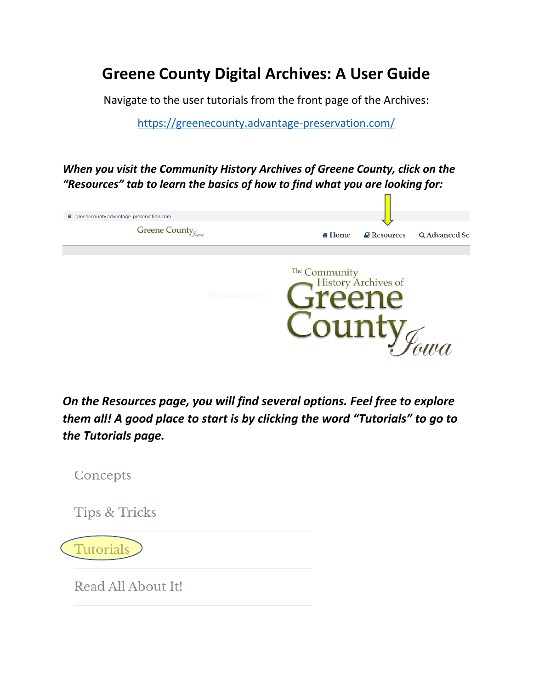## **Greene County Digital Archives: A User Guide**

Navigate to the user tutorials from the front page of the Archives:

<https://greenecounty.advantage-preservation.com/>

*When you visit the Community History Archives of Greene County, click on the "Resources" tab to learn the basics of how to find what you are looking for:*



*On the Resources page, you will find several options. Feel free to explore them all! A good place to start is by clicking the word "Tutorials" to go to the Tutorials page.*